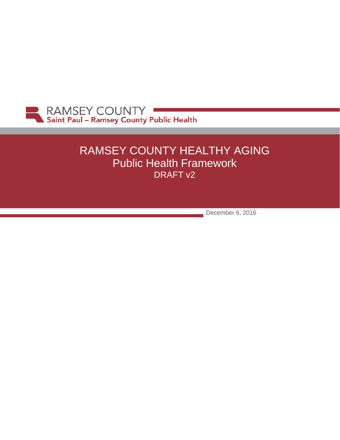

# RAMSEY COUNTY HEALTHY AGING Public Health Framework DRAFT v2

December 6, 2016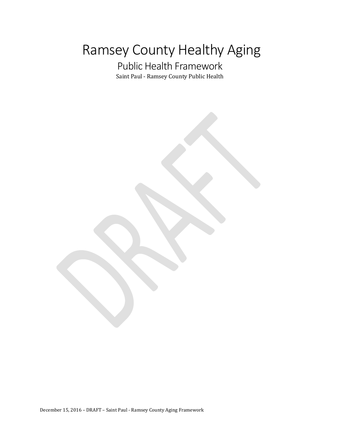# Ramsey County Healthy Aging

# Public Health Framework Saint Paul - Ramsey County Public Health

December 15, 2016 – DRAFT – Saint Paul - Ramsey County Aging Framework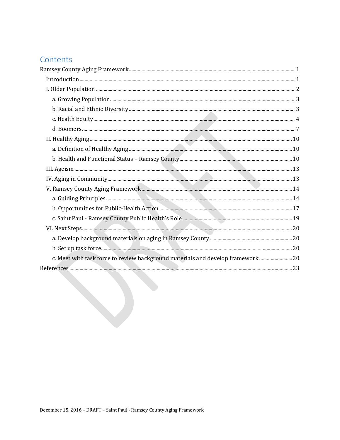# Contents

| c. Meet with task force to review background materials and develop framework.  20 |  |
|-----------------------------------------------------------------------------------|--|
|                                                                                   |  |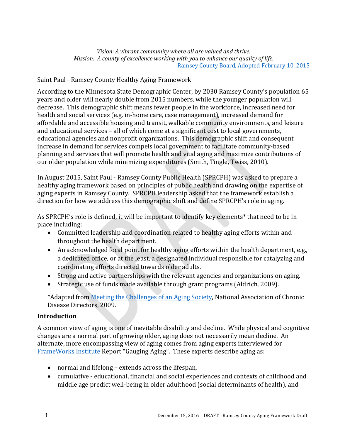*Vision: A vibrant community where all are valued and thrive. Mission: A county of excellence working with you to enhance our quality of life.* [Ramsey County Board, Adopted February 10, 2015](https://www.ramseycounty.us/your-government/leadership/board-commissioners/vision-mission-and-goals)

## <span id="page-3-0"></span>Saint Paul - Ramsey County Healthy Aging Framework

According to the Minnesota State Demographic Center, by 2030 Ramsey County's population 65 years and older will nearly double from 2015 numbers, while the younger population will decrease. This demographic shift means fewer people in the workforce, increased need for health and social services (e.g. in-home care, case management), increased demand for affordable and accessible housing and transit, walkable community environments, and leisure and educational services – all of which come at a significant cost to local governments, educational agencies and nonprofit organizations. This demographic shift and consequent increase in demand for services compels local government to facilitate community-based planning and services that will promote health and vital aging and maximize contributions of our older population while minimizing expenditures [\(Smith, Tingle, Twiss, 2010\)](http://webapps.icma.org/pm/9204/public/feature1.cfm?author=Henry%20Tingle%20and%20Clare%20Smith%20and%20Joan%20Twiss&title=Aging%20Populations).

In August 2015, Saint Paul - Ramsey County Public Health (SPRCPH) was asked to prepare a healthy aging framework based on principles of public health and drawing on the expertise of aging experts in Ramsey County. SPRCPH leadership asked that the framework establish a direction for how we address this demographic shift and define SPRCPH's role in aging.

As SPRCPH's role is defined, it will be important to identify key elements\* that need to be in place including:

- Committed leadership and coordination related to healthy aging efforts within and throughout the health department.
- An acknowledged focal point for healthy aging efforts within the health department, e.g., a dedicated office, or at the least, a designated individual responsible for catalyzing and coordinating efforts directed towards older adults.
- Strong and active partnerships with the relevant agencies and organizations on aging.
- Strategic use of funds made available through grant programs (Aldrich, 2009).

\*Adapted from [Meeting the Challenges of an Aging Society,](https://c.ymcdn.com/sites/www.chronicdisease.org/resource/resmgr/Healthy_Aging_Critical_Issues_Brief/Aging_Society_SHD.pdf) National Association of Chronic Disease Directors, 2009.

#### <span id="page-3-1"></span>**Introduction**

A common view of aging is one of inevitable disability and decline. While physical and cognitive changes are a normal part of growing older, aging does not necessarily mean decline. An alternate, more encompassing view of aging comes from aging experts interviewed for [FrameWorks Institute](http://www.frameworksinstitute.org/) Report "Gauging Aging". These experts describe aging as:

- normal and lifelong extends across the lifespan,
- cumulative educational, financial and social experiences and contexts of childhood and middle age predict well-being in older adulthood (social determinants of health), and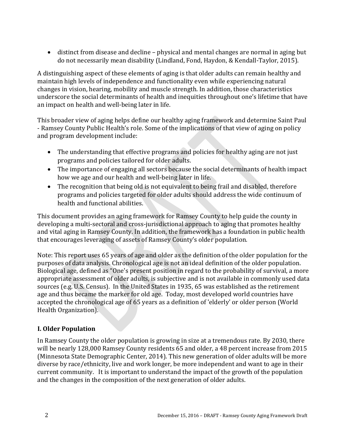• distinct from disease and decline – physical and mental changes are normal in aging but do not necessarily mean disability (Lindland, Fond, Haydon, & Kendall-Taylor, 2015).

A distinguishing aspect of these elements of aging is that older adults can remain healthy and maintain high levels of independence and functionality even while experiencing natural changes in vision, hearing, mobility and muscle strength. In addition, those characteristics underscore the social determinants of health and inequities throughout one's lifetime that have an impact on health and well-being later in life.

This broader view of aging helps define our healthy aging framework and determine Saint Paul - Ramsey County Public Health's role. Some of the implications of that view of aging on policy and program development include:

- The understanding that effective programs and policies for healthy aging are not just programs and policies tailored for older adults.
- The importance of engaging all sectors because the social determinants of health impact how we age and our health and well-being later in life.
- The recognition that being old is not equivalent to being frail and disabled, therefore programs and policies targeted for older adults should address the wide continuum of health and functional abilities.

This document provides an aging framework for Ramsey County to help guide the county in developing a multi-sectoral and cross-jurisdictional approach to aging that promotes healthy and vital aging in Ramsey County. In addition, the framework has a foundation in public health that encourages leveraging of assets of Ramsey County's older population.

Note: This report uses 65 years of age and older as the definition of the older population for the purposes of data analysis. Chronological age is not an ideal definition of the older population. Biological age, defined as "One's present position in regard to the probability of survival, a more appropriate assessment of older adults, is subjective and is not available in commonly used data sources (e.g. U.S. Census). In the United States in 1935, 65 was established as the retirement age and thus became the marker for old age. Today, most developed world countries have accepted the chronological age of 65 years as a definition of 'elderly' or older person (World Health Organization).

# <span id="page-4-0"></span>**I. Older Population**

In Ramsey County the older population is growing in size at a tremendous rate. By 2030, there will be nearly 128,000 Ramsey County residents 65 and older, a 48 percent increase from 2015 (Minnesota State Demographic Center, 2014). This new generation of older adults will be more diverse by race/ethnicity, live and work longer, be more independent and want to age in their current community. It is important to understand the impact of the growth of the population and the changes in the composition of the next generation of older adults.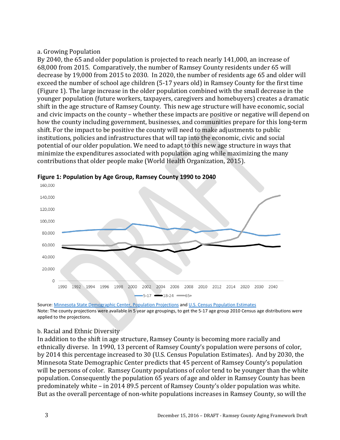#### <span id="page-5-0"></span>a. Growing Population

By 2040, the 65 and older population is projected to reach nearly 141,000, an increase of 68,000 from 2015. Comparatively, the number of Ramsey County residents under 65 will decrease by 19,000 from 2015 to 2030. In 2020, the number of residents age 65 and older will exceed the number of school age children (5-17 years old) in Ramsey County for the first time (Figure 1). The large increase in the older population combined with the small decrease in the younger population (future workers, taxpayers, caregivers and homebuyers) creates a dramatic shift in the age structure of Ramsey County. This new age structure will have economic, social and civic impacts on the county – whether these impacts are positive or negative will depend on how the county including government, businesses, and communities prepare for this long-term shift. For the impact to be positive the county will need to make adjustments to public institutions, policies and infrastructures that will tap into the economic, civic and social potential of our older population. We need to adapt to this new age structure in ways that minimize the expenditures associated with population aging while maximizing the many contributions that older people make (World Health Organization, 2015).



**Figure 1: Population by Age Group, Ramsey County 1990 to 2040**

Source: [Minnesota State Demographic Center, Population Projections](http://mn.gov/admin/demography/data-by-topic/population-data/our-projections/) and U.S. Census [Population Estimates](http://www.census.gov/popest/) Note: The county projections were available in 5 year age groupings, to get the 5-17 age group 2010 Census age distributions were applied to the projections.

#### <span id="page-5-1"></span>b. Racial and Ethnic Diversity

In addition to the shift in age structure, Ramsey County is becoming more racially and ethnically diverse. In 1990, 13 percent of Ramsey County's population were persons of color, by 2014 this percentage increased to 30 (U.S. Census Population Estimates). And by 2030, the Minnesota State Demographic Center predicts that 45 percent of Ramsey County's population will be persons of color. Ramsey County populations of color tend to be younger than the white population. Consequently the population 65 years of age and older in Ramsey County has been predominately white – in 2014 89.5 percent of Ramsey County's older population was white. But as the overall percentage of non-white populations increases in Ramsey County, so will the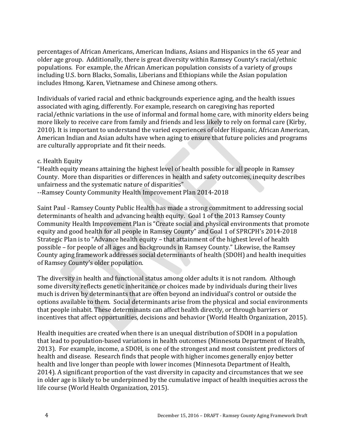percentages of African Americans, American Indians, Asians and Hispanics in the 65 year and older age group. Additionally, there is great diversity within Ramsey County's racial/ethnic populations. For example, the African American population consists of a variety of groups including U.S. born Blacks, Somalis, Liberians and Ethiopians while the Asian population includes Hmong, Karen, Vietnamese and Chinese among others.

Individuals of varied racial and ethnic backgrounds experience aging, and the health issues associated with aging, differently. For example, research on caregiving has reported racial/ethnic variations in the use of informal and formal home care, with minority elders being more likely to receive care from family and friends and less likely to rely on formal care [\(Kirby,](http://www.ncbi.nlm.nih.gov/pmc/articles/PMC2939174/)  [2010\)](http://www.ncbi.nlm.nih.gov/pmc/articles/PMC2939174/). It is important to understand the varied experiences of older Hispanic, African American, American Indian and Asian adults have when aging to ensure that future policies and programs are culturally appropriate and fit their needs.

#### <span id="page-6-0"></span>c. Health Equity

"Health equity means attaining the highest level of health possible for all people in Ramsey County. More than disparities or differences in health and safety outcomes, inequity describes unfairness and the systematic nature of disparities"

[--Ramsey County Community Health Improvement Plan 2014-2018](https://www.ramseycounty.us/your-government/departments/health-and-wellness/public-health/public-health-department-plans)

Saint Paul - Ramsey County Public Health has made a strong commitment to addressing social determinants of health and advancing health equity. Goal 1 of the 2013 Ramsey County Community Health Improvement Plan is "Create social and physical environments that promote equity and good health for all people in Ramsey County" and Goal 1 of SPRCPH's 2014-2018 Strategic Plan is to "Advance health equity – that attainment of the highest level of health possible – for people of all ages and backgrounds in Ramsey County." Likewise, the Ramsey County aging framework addresses social determinants of health (SDOH) and health inequities of Ramsey County's older population.

The diversity in health and functional status among older adults it is not random. Although some diversity reflects genetic inheritance or choices made by individuals during their lives much is driven by determinants that are often beyond an individual's control or outside the options available to them. Social determinants arise from the physical and social environments that people inhabit. These determinants can affect health directly, or through barriers or incentives that affect opportunities, decisions and behavior (World Health Organization, 2015).

Health inequities are created when there is an unequal distribution of SDOH in a population that lead to population-based variations in health outcomes (Minnesota Department of Health, 2013). For example, income, a SDOH, is one of the strongest and most consistent predictors of health and disease. Research finds that people with higher incomes generally enjoy better health and live longer than people with lower incomes (Minnesota Department of Health, 2014). A significant proportion of the vast diversity in capacity and circumstances that we see in older age is likely to be underpinned by the cumulative impact of health inequities across the life course (World Health Organization, 2015).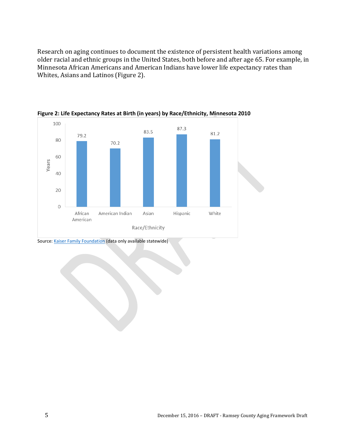Research on aging continues to document the existence of persistent health variations among older racial and ethnic groups in the United States, both before and after age 65. For example, in Minnesota African Americans and American Indians have lower life expectancy rates than Whites, Asians and Latinos (Figure 2).



**Figure 2: Life Expectancy Rates at Birth (in years) by Race/Ethnicity, Minnesota 2010**

Source: [Kaiser Family Foundation](http://kff.org/other/state-indicator/life-expectancy/) (data only available statewide)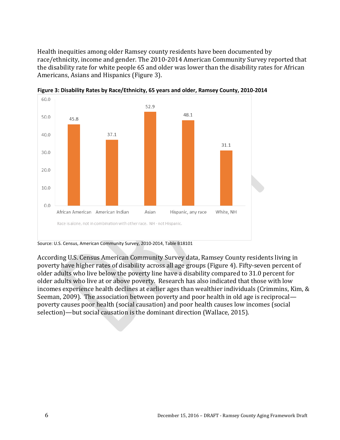Health inequities among older Ramsey county residents have been documented by race/ethnicity, income and gender. The 2010-2014 American Community Survey reported that the disability rate for white people 65 and older was lower than the disability rates for African Americans, Asians and Hispanics (Figure 3).



**Figure 3: Disability Rates by Race/Ethnicity, 65 years and older, Ramsey County, 2010-2014**

According U.S. Census American Community Survey data, Ramsey County residents living in poverty have higher rates of disability across all age groups (Figure 4). Fifty-seven percent of older adults who live below the poverty line have a disability compared to 31.0 percent for older adults who live at or above poverty. Research has also indicated that those with low incomes experience health declines at earlier ages than wealthier individuals (Crimmins, Kim, & Seeman, 2009). The association between poverty and poor health in old age is reciprocal poverty causes poor health (social causation) and poor health causes low incomes (social selection)—but social causation is the dominant direction (Wallace, 2015).

Source: U.S. Census, American Community Survey, 2010-2014, Table B18101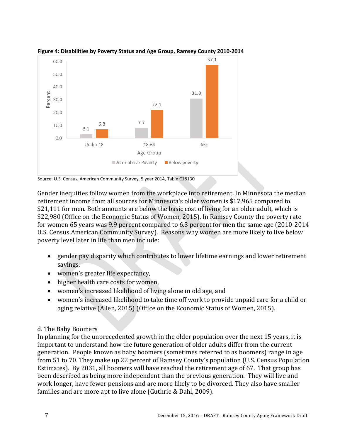

#### **Figure 4: Disabilities by Poverty Status and Age Group, Ramsey County 2010-2014**

Source: U.S. Census, American Community Survey, 5 year 2014, Table C18130

Gender inequities follow women from the workplace into retirement. In Minnesota the median retirement income from all sources for Minnesota's older women is \$17,965 compared to \$21,111 for men. Both amounts are below the basic cost of living for an older adult, which is \$22,980 (Office on the Economic Status of Women, 2015). In Ramsey County the poverty rate for women 65 years was 9.9 percent compared to 6.3 percent for men the same age (2010-2014 U.S. Census American Community Survey). Reasons why women are more likely to live below poverty level later in life than men include:

- gender pay disparity which contributes to lower lifetime earnings and lower retirement savings,
- women's greater life expectancy,
- higher health care costs for women,
- women's increased likelihood of living alone in old age, and
- women's increased likelihood to take time off work to provide unpaid care for a child or aging relative (Allen, 2015) (Office on the Economic Status of Women, 2015).

#### <span id="page-9-0"></span>d. The Baby Boomers

In planning for the unprecedented growth in the older population over the next 15 years, it is important to understand how the future generation of older adults differ from the current generation. People known as baby boomers (sometimes referred to as boomers) range in age from 51 to 70. They make up 22 percent of Ramsey County's population (U.S. Census Population Estimates). By 2031, all boomers will have reached the retirement age of 67. That group has been described as being more independent than the previous generation. They will live and work longer, have fewer pensions and are more likely to be divorced. They also have smaller families and are more apt to live alone (Guthrie & Dahl, 2009).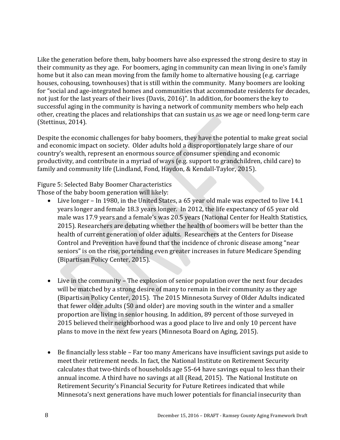Like the generation before them, baby boomers have also expressed the strong desire to stay in their community as they age. For boomers, aging in community can mean living in one's family home but it also can mean moving from the family home to alternative housing (e.g. carriage houses, cohousing, townhouses) that is still within the community. Many boomers are looking for "social and age-integrated homes and communities that accommodate residents for decades, not just for the last years of their lives (Davis, 2016)". In addition, for boomers the key to successful aging in the community is having a network of community members who help each other, creating the places and relationships that can sustain us as we age or need long-term care (Stettinus, 2014).

Despite the economic challenges for baby boomers, they have the potential to make great social and economic impact on society. Older adults hold a disproportionately large share of our country's wealth, represent an enormous source of consumer spending and economic productivity, and contribute in a myriad of ways (e.g. support to grandchildren, child care) to family and community life (Lindland, Fond, Haydon, & Kendall-Taylor, 2015).

Figure 5: Selected Baby Boomer Characteristics

Those of the baby boom generation will likely:

- Live longer In 1980, in the United States, a 65 year old male was expected to live 14.1 years longer and female 18.3 years longer. In 2012, the life expectancy of 65 year old male was 17.9 years and a female's was 20.5 years (National Center for Health Statistics, 2015). Researchers are debating whether the health of boomers will be better than the health of current generation of older adults. Researchers at the Centers for Disease Control and Prevention have found that the incidence of chronic disease among "near seniors" is on the rise, portending even greater increases in future Medicare Spending (Bipartisan Policy Center, 2015).
- Live in the community The explosion of senior population over the next four decades will be matched by a strong desire of many to remain in their community as they age (Bipartisan Policy Center, 2015). The 2015 Minnesota Survey of Older Adults indicated that fewer older adults (50 and older) are moving south in the winter and a smaller proportion are living in senior housing. In addition, 89 percent of those surveyed in 2015 believed their neighborhood was a good place to live and only 10 percent have plans to move in the next few years (Minnesota Board on Aging, 2015).
- Be financially less stable Far too many Americans have insufficient savings put aside to meet their retirement needs. In fact, the National Institute on Retirement Security calculates that two-thirds of households age 55-64 have savings equal to less than their annual income. A third have no savings at all (Read, 2015). The National Institute on Retirement Security's [Financial Security for Future Retirees](http://www.nirsonline.org/storage/nirs/documents/Factsheets/MN_FSS.pdf) indicated that while Minnesota's next generations have much lower potentials for financial insecurity than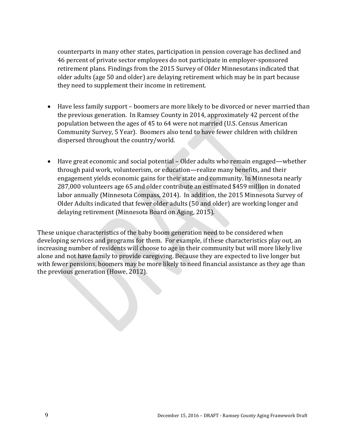counterparts in many other states, participation in pension coverage has declined and 46 percent of private sector employees do not participate in employer-sponsored retirement plans. Findings from the 2015 Survey of Older Minnesotans indicated that older adults (age 50 and older) are delaying retirement which may be in part because they need to supplement their income in retirement.

- Have less family support boomers are more likely to be divorced or never married than the previous generation. In Ramsey County in 2014, approximately 42 percent of the population between the ages of 45 to 64 were not married (U.S. Census American Community Survey, 5 Year). Boomers also tend to have fewer children with children dispersed throughout the country/world.
- Have great economic and social potential Older adults who remain engaged—whether through paid work, volunteerism, or education—realize many benefits, and their engagement yields economic gains for their state and community. In Minnesota nearly 287,000 volunteers age 65 and older contribute an estimated \$459 million in donated labor annually (Minnesota Compass, 2014). In addition, the 2015 Minnesota Survey of Older Adults indicated that fewer older adults (50 and older) are working longer and delaying retirement (Minnesota Board on Aging, 2015).

<span id="page-11-0"></span>These unique characteristics of the baby boom generation need to be considered when developing services and programs for them. For example, if these characteristics play out, an increasing number of residents will choose to age in their community but will more likely live alone and not have family to provide caregiving. Because they are expected to live longer but with fewer pensions, boomers may be more likely to need financial assistance as they age than the previous generation (Howe, 2012).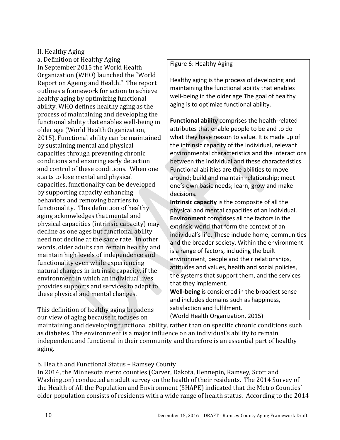#### II. Healthy Aging

<span id="page-12-0"></span>a. Definition of Healthy Aging In September 2015 the World Health Organization (WHO) launched the ["World](http://www.who.int/ageing/events/world-report-2015-launch/en/)  [Report on Ageing and Health.](http://www.who.int/ageing/events/world-report-2015-launch/en/)" The report outlines a framework for action to achieve healthy aging by optimizing functional ability. WHO defines healthy aging as the process of maintaining and developing the functional ability that enables well-being in older age (World Health Organization, 2015). Functional ability can be maintained by sustaining mental and physical capacities through preventing chronic conditions and ensuring early detection and control of these conditions. When one starts to lose mental and physical capacities, functionality can be developed by supporting capacity enhancing behaviors and removing barriers to functionality. This definition of healthy aging acknowledges that mental and physical capacities (intrinsic capacity) may decline as one ages but functional ability need not decline at the same rate. In other words, older adults can remain healthy and maintain high levels of independence and functionality even while experiencing natural changes in intrinsic capacity, if the environment in which an individual lives provides supports and services to adapt to these physical and mental changes.

This definition of healthy aging broadens our view of aging because it focuses on

#### Figure 6: Healthy Aging

Healthy aging is the process of developing and maintaining the functional ability that enables well-being in the older age.The goal of healthy aging is to optimize functional ability.

**Functional ability** comprises the health-related attributes that enable people to be and to do what they have reason to value. It is made up of the intrinsic capacity of the individual, relevant environmental characteristics and the interactions between the individual and these characteristics. Functional abilities are the abilities to move around; build and maintain relationship; meet one's own basic needs; learn, grow and make decisions.

**Intrinsic capacity** is the composite of all the physical and mental capacities of an individual. **Environment** comprises all the factors in the extrinsic world that form the context of an individual's life. These include home, communities and the broader society. Within the environment is a range of factors, including the built environment, people and their relationships, attitudes and values, health and social policies, the systems that support them, and the services that they implement.

**Well-being** is considered in the broadest sense and includes domains such as happiness, satisfaction and fulfilment.

(World Health Organization, 2015)

maintaining and developing functional ability, rather than on specific chronic conditions such as diabetes. The environment is a major influence on an individual's ability to remain independent and functional in their community and therefore is an essential part of healthy aging.

<span id="page-12-1"></span>b. Health and Functional Status – Ramsey County

In 2014, the Minnesota metro counties (Carver, Dakota, Hennepin, Ramsey, Scott and Washington) conducted an adult survey on the health of their residents. The 2014 Survey of the Health of All the Population and Environment (SHAPE) indicated that the Metro Counties' older population consists of residents with a wide range of health status. According to the 2014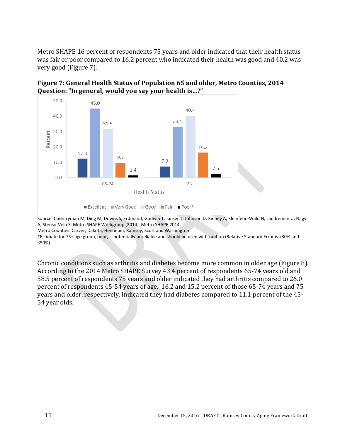Metro SHAPE 16 percent of respondents 75 years and older indicated that their health status was fair or poor compared to 16.2 percent who indicated their health was good and 40.2 was very good (Figure 7).





Source: Countryman M, Ding M, Downs S, Erdman J, Godwin T, Jansen J, Johnson D, Kinney A, Kleinfehn-Wald N, Landreman U, Nagy A, Stenso-Velo S; Metro SHAPE Workgroup (2014). Metro SHAPE 2014.

Metro Counties: Carver, Dakota, Hennepin, Ramsey, Scott and Washington

\*Estimate for 75+ age group, poor, is potentially unreliable and should be used with caution (Relative Standard Error is >30% and ≤50%).

Chronic conditions such as arthritis and diabetes become more common in older age (Figure 8). According to the 2014 Metro SHAPE Survey 43.4 percent of respondents 65-74 years old and 58.5 percent of respondents 75 years and older indicated they had arthritis compared to 26.0 percent of respondents 45-54 years of age. 16.2 and 15.2 percent of those 65-74 years and 75 years and older, respectively, indicated they had diabetes compared to 11.1 percent of the 45- 54 year olds.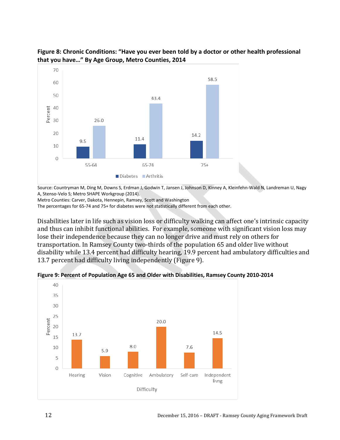



Source: Countryman M, Ding M, Downs S, Erdman J, Godwin T, Jansen J, Johnson D, Kinney A, Kleinfehn-Wald N, Landreman U, Nagy A, Stenso-Velo S; Metro SHAPE Workgroup (2014).

Metro Counties: Carver, Dakota, Hennepin, Ramsey, Scott and Washington

The percentages for 65-74 and 75+ for diabetes were not statistically different from each other.

Disabilities later in life such as vision loss or difficulty walking can affect one's intrinsic capacity and thus can inhibit functional abilities. For example, someone with significant vision loss may lose their independence because they can no longer drive and must rely on others for transportation. In Ramsey County two-thirds of the population 65 and older live without disability while 13.4 percent had difficulty hearing, 19.9 percent had ambulatory difficulties and 13.7 percent had difficulty living independently (Figure 9).

**Figure 9: Percent of Population Age 65 and Older with Disabilities, Ramsey County 2010-2014**

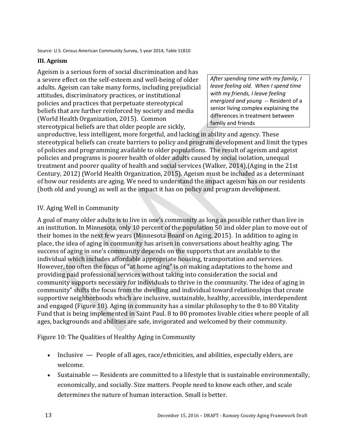#### <span id="page-15-0"></span>**III. Ageism**

Ageism is a serious form of social discrimination and has a severe effect on the self-esteem and well-being of older adults. Ageism can take many forms, including prejudicial attitudes, discriminatory practices, or institutional policies and practices that perpetuate stereotypical beliefs that are further reinforced by society and media (World Health Organization, 2015). Common stereotypical beliefs are that older people are sickly,

*After spending time with my family, I leave feeling old. When I spend time with my friends, I leave feeling energized and young* -- Resident of a senior living complex explaining the differences in treatment between family and friends

unproductive, less intelligent, more forgetful, and lacking in ability and agency. These stereotypical beliefs can create barriers to policy and program development and limit the types of policies and programming available to older populations. The result of ageism and ageist policies and programs is poorer health of older adults caused by social isolation, unequal treatment and poorer quality of health and social services (Walker, 2014),(Aging in the 21st Century, 2012) (World Health Organization, 2015). Ageism must be included as a determinant of how our residents are aging. We need to understand the impact ageism has on our residents (both old and young) as well as the impact it has on policy and program development.

#### <span id="page-15-1"></span>IV. Aging Well in Community

A goal of many older adults is to live in one's community as long as possible rather than live in an institution. In Minnesota, only 10 percent of the population 50 and older plan to move out of their homes in the next few years (Minnesota Board on Aging, 2015). In addition to aging in place, the idea of aging in community has arisen in conversations about healthy aging. The success of aging in one's community depends on the supports that are available to the individual which includes affordable appropriate housing, transportation and services. However, too often the focus of "at home aging" is on making adaptations to the home and providing paid professional services without taking into consideration the social and community supports necessary for individuals to thrive in the community. The idea of aging in community" shifts the focus from the dwelling and individual toward relationships that create supportive neighborhoods which are inclusive, sustainable, healthy, accessible, interdependent and engaged (Figure 10). Aging in community has a similar philosophy to the [8 to 80 Vitality](https://www.stpaul.gov/departments/planning-economic-development/creating-vibrant-places-and-spaces-saint-paul/8-80-0)  [Fund](https://www.stpaul.gov/departments/planning-economic-development/creating-vibrant-places-and-spaces-saint-paul/8-80-0) that is being implemented in Saint Paul. 8 to 80 promotes livable cities where people of all ages, backgrounds and abilities are safe, invigorated and welcomed by their community.

Figure 10: The Qualities of Healthy Aging in Community

- Inclusive People of all ages, race/ethnicities, and abilities, especially elders, are welcome.
- Sustainable Residents are committed to a lifestyle that is sustainable environmentally, economically, and socially. Size matters. People need to know each other, and scale determines the nature of human interaction. Small is better.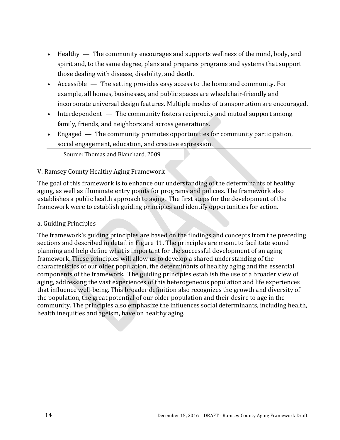- Healthy The community encourages and supports wellness of the mind, body, and spirit and, to the same degree, plans and prepares programs and systems that support those dealing with disease, disability, and death.
- Accessible The setting provides easy access to the home and community. For example, all homes, businesses, and public spaces are wheelchair-friendly and incorporate universal design features. Multiple modes of transportation are encouraged.
- Interdependent The community fosters reciprocity and mutual support among family, friends, and neighbors and across generations.
- Engaged The community promotes opportunities for community participation, social engagement, education, and creative expression.

Source: Thomas and Blanchard, 2009

# <span id="page-16-0"></span>V. Ramsey County Healthy Aging Framework

The goal of this framework is to enhance our understanding of the determinants of healthy aging, as well as illuminate entry points for programs and policies. The framework also establishes a public health approach to aging. The first steps for the development of the framework were to establish guiding principles and identify opportunities for action.

# <span id="page-16-1"></span>a. Guiding Principles

The framework's guiding principles are based on the findings and concepts from the preceding sections and described in detail in Figure 11. The principles are meant to facilitate sound planning and help define what is important for the successful development of an aging framework. These principles will allow us to develop a shared understanding of the characteristics of our older population, the determinants of healthy aging and the essential components of the framework. The guiding principles establish the use of a broader view of aging, addressing the vast experiences of this heterogeneous population and life experiences that influence well-being. This broader definition also recognizes the growth and diversity of the population, the great potential of our older population and their desire to age in the community. The principles also emphasize the influences social determinants, including health, health inequities and ageism, have on healthy aging.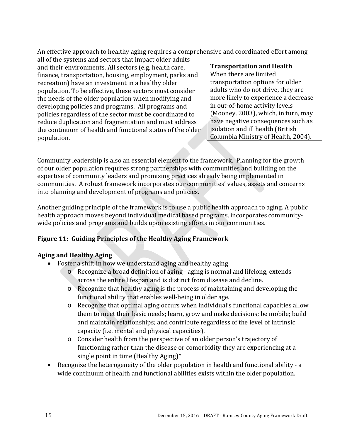An effective approach to healthy aging requires a comprehensive and coordinated effort among

all of the systems and sectors that impact older adults and their environments. All sectors (e.g. health care, finance, transportation, housing, employment, parks and recreation) have an investment in a healthy older population. To be effective, these sectors must consider the needs of the older population when modifying and developing policies and programs. All programs and policies regardless of the sector must be coordinated to reduce duplication and fragmentation and must address the continuum of health and functional status of the older population.

**Transportation and Health** When there are limited transportation options for older adults who do not drive, they are more likely to experience a decrease in out-of-home activity levels (Mooney, 2003), which, in turn, may have negative consequences such as isolation and ill health (British Columbia Ministry of Health, 2004).

Community leadership is also an essential element to the framework. Planning for the growth of our older population requires strong partnerships with communities and building on the expertise of community leaders and promising practices already being implemented in communities. A robust framework incorporates our communities' values, assets and concerns into planning and development of programs and policies.

Another guiding principle of the framework is to use a public health approach to aging. A public health approach moves beyond individual medical based programs, incorporates communitywide policies and programs and builds upon existing efforts in our communities.

# **Figure 11: Guiding Principles of the Healthy Aging Framework**

# **Aging and Healthy Aging**

- Foster a shift in how we understand aging and healthy aging
	- o Recognize a broad definition of aging aging is normal and lifelong, extends across the entire lifespan and is distinct from disease and decline.
	- o Recognize that healthy aging is the process of maintaining and developing the functional ability that enables well-being in older age.
	- o Recognize that optimal aging occurs when individual's functional capacities allow them to meet their basic needs; learn, grow and make decisions; be mobile; build and maintain relationships; and contribute regardless of the level of intrinsic capacity (i.e. mental and physical capacities).
	- o Consider health from the perspective of an older person's trajectory of functioning rather than the disease or comorbidity they are experiencing at a single point in time (Healthy Aging)\*
- Recognize the heterogeneity of the older population in health and functional ability a wide continuum of health and functional abilities exists within the older population.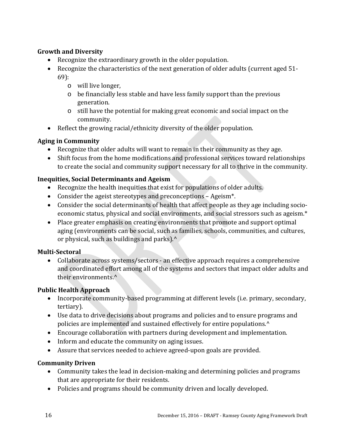# **Growth and Diversity**

- Recognize the extraordinary growth in the older population.
- Recognize the characteristics of the next generation of older adults (current aged 51- 69):
	- o will live longer,
	- o be financially less stable and have less family support than the previous generation.
	- o still have the potential for making great economic and social impact on the community.
- Reflect the growing racial/ethnicity diversity of the older population.

# **Aging in Community**

- Recognize that older adults will want to remain in their community as they age.
- Shift focus from the home modifications and professional services toward relationships to create the social and community support necessary for all to thrive in the community.

# **Inequities, Social Determinants and Ageism**

- Recognize the health inequities that exist for populations of older adults.
- Consider the ageist stereotypes and preconceptions Ageism\*.
- Consider the social determinants of health that affect people as they age including socioeconomic status, physical and social environments, and social stressors such as ageism.\*
- Place greater emphasis on creating environments that promote and support optimal aging (environments can be social, such as families, schools, communities, and cultures, or physical, such as buildings and parks).<sup>^</sup>

# **Multi-Sectoral**

• Collaborate across systems/sectors - an effective approach requires a comprehensive and coordinated effort among all of the systems and sectors that impact older adults and their environments.^

# **Public Health Approach**

- Incorporate community-based programming at different levels (i.e. primary, secondary, tertiary).
- Use data to drive decisions about programs and policies and to ensure programs and policies are implemented and sustained effectively for entire populations.<sup>^</sup>
- Encourage collaboration with partners during development and implementation.
- Inform and educate the community on aging issues.
- Assure that services needed to achieve agreed-upon goals are provided.

# **Community Driven**

- Community takes the lead in decision-making and determining policies and programs that are appropriate for their residents.
- Policies and programs should be community driven and locally developed.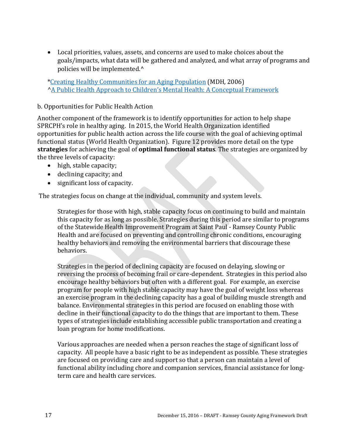• Local priorities, values, assets, and concerns are used to make choices about the goals/impacts, what data will be gathered and analyzed, and what array of programs and policies will be implemented.^

[\\*Creating Healthy Communities for an Aging Population](http://www.health.state.mn.us/divs/orhpc/pubs/healthyaging/hareportnofs.pdf) (MDH, 2006) [^A Public Health Approach to Children's Mental Health: A Conceptual Framework](http://gucchdtacenter.georgetown.edu/publications/PublicHealthApproach.pdf)

#### <span id="page-19-0"></span>b. Opportunities for Public Health Action

Another component of the framework is to identify opportunities for action to help shape SPRCPH's role in healthy aging. In 2015, the World Health Organization identified opportunities for public health action across the life course with the goal of achieving optimal functional status (World Health Organization). Figure 12 provides more detail on the type **strategies** for achieving the goal of **optimal functional status**. The strategies are organized by the three levels of capacity:

- high, stable capacity;
- declining capacity; and
- significant loss of capacity.

The strategies focus on change at the individual, community and system levels.

Strategies for those with high, stable capacity focus on continuing to build and maintain this capacity for as long as possible. Strategies during this period are similar to programs of the Statewide Health Improvement Program at Saint Paul - Ramsey County Public Health and are focused on preventing and controlling chronic conditions, encouraging healthy behaviors and removing the environmental barriers that discourage these behaviors.

Strategies in the period of declining capacity are focused on delaying, slowing or reversing the process of becoming frail or care-dependent. Strategies in this period also encourage healthy behaviors but often with a different goal. For example, an exercise program for people with high stable capacity may have the goal of weight loss whereas an exercise program in the declining capacity has a goal of building muscle strength and balance. Environmental strategies in this period are focused on enabling those with decline in their functional capacity to do the things that are important to them. These types of strategies include establishing accessible public transportation and creating a loan program for home modifications.

Various approaches are needed when a person reaches the stage of significant loss of capacity. All people have a basic right to be as independent as possible. These strategies are focused on providing care and support so that a person can maintain a level of functional ability including chore and companion services, financial assistance for longterm care and health care services.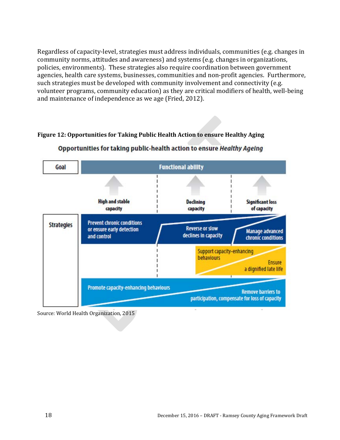Regardless of capacity-level, strategies must address individuals, communities (e.g. changes in community norms, attitudes and awareness) and systems (e.g. changes in organizations, policies, environments). These strategies also require coordination between government agencies, health care systems, businesses, communities and non-profit agencies. Furthermore, such strategies must be developed with community involvement and connectivity (e.g. volunteer programs, community education) as they are critical modifiers of health, well-being and maintenance of independence as we age (Fried, 2012).

# **Figure 12: Opportunities for Taking Public Health Action to ensure Healthy Aging**



#### Opportunities for taking public-health action to ensure Healthy Ageing

Source: World Health Organization, 2015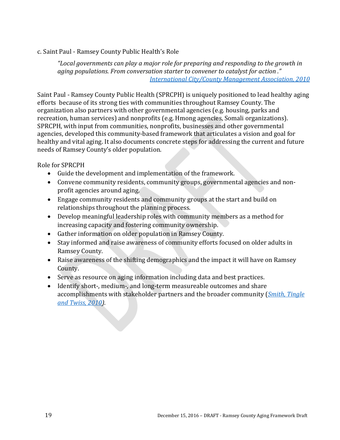## <span id="page-21-0"></span>c. Saint Paul - Ramsey County Public Health's Role

*"Local governments can play a major role for preparing and responding to the growth in aging populations. From conversation starter to convener to catalyst for action ." [International City/County Management Association, 2010](http://webapps.icma.org/pm/9204/public/feature1.cfm?author=Henry%20Tingle%20and%20Clare%20Smith%20and%20Joan%20Twiss&title=Aging%20Populations)*

Saint Paul - Ramsey County Public Health (SPRCPH) is uniquely positioned to lead healthy aging efforts because of its strong ties with communities throughout Ramsey County. The organization also partners with other governmental agencies (e.g. housing, parks and recreation, human services) and nonprofits (e.g. Hmong agencies, Somali organizations). SPRCPH, with input from communities, nonprofits, businesses and other governmental agencies, developed this community-based framework that articulates a vision and goal for healthy and vital aging. It also documents concrete steps for addressing the current and future needs of Ramsey County's older population.

Role for SPRCPH

- Guide the development and implementation of the framework.
- Convene community residents, community groups, governmental agencies and nonprofit agencies around aging.
- Engage community residents and community groups at the start and build on relationships throughout the planning process.
- Develop meaningful leadership roles with community members as a method for increasing capacity and fostering community ownership.
- Gather information on older population in Ramsey County.
- Stay informed and raise awareness of community efforts focused on older adults in Ramsey County.
- Raise awareness of the shifting demographics and the impact it will have on Ramsey County.
- Serve as resource on aging information including data and best practices.
- Identify short-, medium-, and long-term measureable outcomes and share accomplishments with stakeholder partners and the broader community (*[Smith, Tingle](http://webapps.icma.org/pm/9204/public/feature1.cfm?author=Henry%20Tingle%20and%20Clare%20Smith%20and%20Joan%20Twiss&title=Aging%20Populations)  [and Twiss, 2010\)](http://webapps.icma.org/pm/9204/public/feature1.cfm?author=Henry%20Tingle%20and%20Clare%20Smith%20and%20Joan%20Twiss&title=Aging%20Populations).*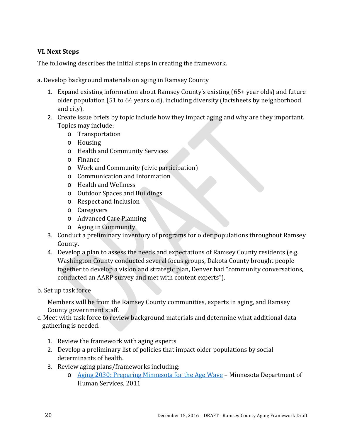# <span id="page-22-0"></span>**VI. Next Steps**

The following describes the initial steps in creating the framework.

<span id="page-22-1"></span>a. Develop background materials on aging in Ramsey County

- 1. Expand existing information about Ramsey County's existing (65+ year olds) and future older population (51 to 64 years old), including diversity (factsheets by neighborhood and city).
- 2. Create issue briefs by topic include how they impact aging and why are they important. Topics may include:
	- o Transportation
	- o Housing
	- o Health and Community Services
	- o Finance
	- o Work and Community (civic participation)
	- o Communication and Information
	- o Health and Wellness
	- o Outdoor Spaces and Buildings
	- o Respect and Inclusion
	- o Caregivers
	- o Advanced Care Planning
	- o Aging in Community
- 3. Conduct a preliminary inventory of programs for older populations throughout Ramsey County.
- 4. Develop a plan to assess the needs and expectations of Ramsey County residents (e.g. Washington County conducted several focus groups, Dakota County brought people together to develop a vision and strategic plan, Denver had "community conversations, conducted an AARP survey and met with content experts").
- <span id="page-22-2"></span>b. Set up task force

Members will be from the Ramsey County communities, experts in aging, and Ramsey County government staff.

- <span id="page-22-3"></span>c. Meet with task force to review background materials and determine what additional data gathering is needed.
	- 1. Review the framework with aging experts
	- 2. Develop a preliminary list of policies that impact older populations by social determinants of health.
	- 3. Review aging plans/frameworks including:
		- o [Aging 2030: Preparing Minnesota for the Age Wave](https://edocs.dhs.state.mn.us/lfserver/public/dhs-5059c-eng) Minnesota Department of Human Services, 2011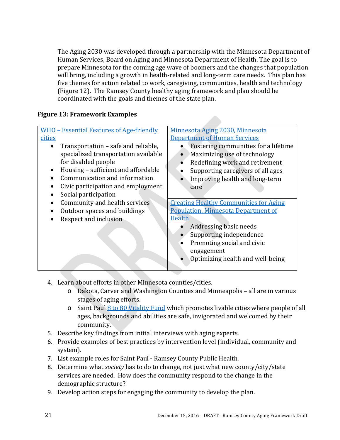The Aging 2030 was developed through a partnership with the Minnesota Department of Human Services, Board on Aging and Minnesota Department of Health. The goal is to prepare Minnesota for the coming age wave of boomers and the changes that population will bring, including a growth in health-related and long-term care needs. This plan has five themes for action related to work, caregiving, communities, health and technology (Figure 12). The Ramsey County healthy aging framework and plan should be coordinated with the goals and themes of the state plan.

## **Figure 13: Framework Examples**

|           | <u> WHO - Essential Features of Age-friendly</u>                            | Minnesota Aging 2030, Minnesota                                      |  |
|-----------|-----------------------------------------------------------------------------|----------------------------------------------------------------------|--|
| cities    |                                                                             | <b>Department of Human Services</b>                                  |  |
|           | Transportation – safe and reliable,<br>specialized transportation available | Fostering communities for a lifetime<br>Maximizing use of technology |  |
|           | for disabled people                                                         | Redefining work and retirement                                       |  |
| $\bullet$ | Housing – sufficient and affordable                                         | Supporting caregivers of all ages                                    |  |
|           | Communication and information                                               | Improving health and long-term                                       |  |
|           | Civic participation and employment                                          | care                                                                 |  |
|           | Social participation                                                        |                                                                      |  |
|           | Community and health services                                               | <b>Creating Healthy Communities for Aging</b>                        |  |
|           | Outdoor spaces and buildings                                                | <b>Population, Minnesota Department of</b>                           |  |
|           | Respect and inclusion                                                       | Health                                                               |  |
|           |                                                                             | Addressing basic needs                                               |  |
|           |                                                                             | Supporting independence                                              |  |
|           |                                                                             | Promoting social and civic                                           |  |
|           |                                                                             | engagement                                                           |  |
|           |                                                                             | Optimizing health and well-being                                     |  |
|           |                                                                             |                                                                      |  |

- 4. Learn about efforts in other Minnesota counties/cities.
	- o Dakota, Carver and Washington Counties and Minneapolis all are in various stages of aging efforts.
	- $\circ$  Saint Paul [8 to 80 Vitality Fund](https://www.stpaul.gov/departments/planning-economic-development/creating-vibrant-places-and-spaces-saint-paul/8-80-0) which promotes livable cities where people of all ages, backgrounds and abilities are safe, invigorated and welcomed by their community.
- 5. Describe key findings from initial interviews with aging experts.
- 6. Provide examples of best practices by intervention level (individual, community and system).
- 7. List example roles for Saint Paul Ramsey County Public Health.
- 8. Determine what *society* has to do to change, not just what new county/city/state services are needed. How does the community respond to the change in the demographic structure?
- 9. Develop action steps for engaging the community to develop the plan.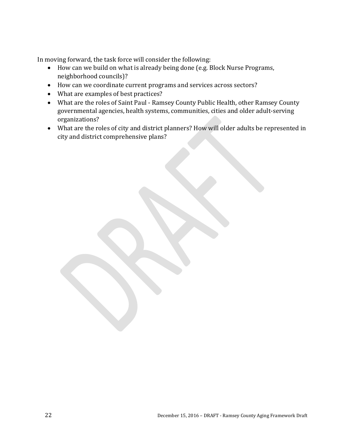In moving forward, the task force will consider the following:

- How can we build on what is already being done (e.g. Block Nurse Programs, neighborhood councils)?
- How can we coordinate current programs and services across sectors?
- What are examples of best practices?
- What are the roles of Saint Paul Ramsey County Public Health, other Ramsey County governmental agencies, health systems, communities, cities and older adult-serving organizations?
- What are the roles of city and district planners? How will older adults be represented in city and district comprehensive plans?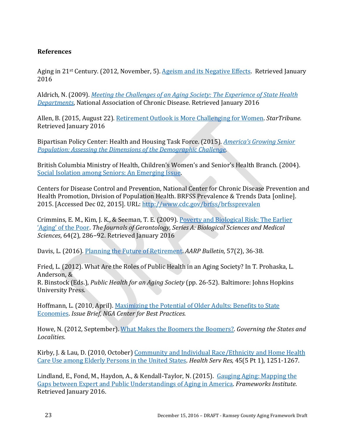#### <span id="page-25-0"></span>**References**

Aging in 21st Century. (2012, November, 5). [Ageism and its Negative Effects.](https://agingin21stcentury.wordpress.com/2012/11/05/ageism-and-its-negative-effects/) Retrieved January 2016

Aldrich, N. (2009). *[Meeting the Challenges of an Aging Society: The Experience of State Health](https://c.ymcdn.com/sites/www.chronicdisease.org/resource/resmgr/Healthy_Aging_Critical_Issues_Brief/Aging_Society_SHD.pdf)  [Departments](https://c.ymcdn.com/sites/www.chronicdisease.org/resource/resmgr/Healthy_Aging_Critical_Issues_Brief/Aging_Society_SHD.pdf)*, National Association of Chronic Disease. Retrieved January 2016

Allen, B. (2015, August 22). [Retirement Outlook is More Challenging for Women.](http://www.startribune.com/retirement-outlook-is-more-challenging-for-women/322463921/) *StarTribune.* Retrieved January 2016

Bipartisan Policy Center: Health and Housing Task Force. (2015). *[America's Growing Senior](http://bipartisanpolicy.org/library/america-growing-senior-population/)  [Population: Assessing the Dimensions of the Demographic Challenge.](http://bipartisanpolicy.org/library/america-growing-senior-population/)*

British Columbia Ministry of Health, Children's Women's and Senior's Health Branch. (2004). [Social Isolation among Seniors: An Emerging Issue.](http://www.health.gov.bc.ca/library/publications/year/2004/Social_Isolation_Among_Seniors.pdf)

Centers for Disease Control and Prevention, National Center for Chronic Disease Prevention and Health Promotion, Division of Population Health. BRFSS Prevalence & Trends Data [online]. 2015. [Accessed Dec 02, 2015]. URL:<http://www.cdc.gov/brfss/brfssprevalen>

Crimmins, E. M., Kim, J. K., & Seeman, T. E. (2009). Poverty and [Biological Risk: The Earlier](http://www.ncbi.nlm.nih.gov/pubmed/19196637)  'Aging' [of the Poor.](http://www.ncbi.nlm.nih.gov/pubmed/19196637) *The Journals of Gerontology, Series A: Biological Sciences and Medical Sciences*, 64(2), 286−92. Retrieved January 2016

Davis, L. (2016). [Planning the Future of Retirement.](http://www.aarp.org/home-family/your-home/info-2016/planning-the-future-of-retirement.html) *AARP Bulletin*, 57(2), 36-38.

Fried, L. (2012). What Are the Roles of Public Health in an Aging Society? In T. Prohaska, L. Anderson, &

R. Binstock (Eds.), *Public Health for an Aging Society* (pp. 26-52). Baltimore: Johns Hopkins University Press.

Hoffmann, L. (2010, April). [Maximizing the Potential of Older Adults: Benefits to State](http://www.nga.org/files/live/sites/NGA/files/pdf/1004OLDERADULTS.PDF)  [Economies.](http://www.nga.org/files/live/sites/NGA/files/pdf/1004OLDERADULTS.PDF) *Issue Brief, NGA Center for Best Practices.*

Howe, N. (2012, September). [What Makes the Boomers the Boomers?.](http://www.governing.com/generations/government-management/gov-what-makes-boomers.html) *Governing the States and Localities*.

Kirby, J. & Lau, D. (2010, October) [Community and Individual Race/Ethnicity and Home Health](http://www.ncbi.nlm.nih.gov/pmc/articles/PMC2939174/)  [Care Use among Elderly Persons in the United States.](http://www.ncbi.nlm.nih.gov/pmc/articles/PMC2939174/) *Health Serv Res,* 45(5 Pt 1), 1251-1267.

Lindland, E., Fond, M., Haydon, A., & Kendall-Taylor, N. (2015). [Gauging Aging: Mapping the](http://www.frameworksinstitute.org/reframing-aging.html)  [Gaps between Expert and Public Understandings of Aging in America.](http://www.frameworksinstitute.org/reframing-aging.html) *Frameworks Institute*. Retrieved January 2016.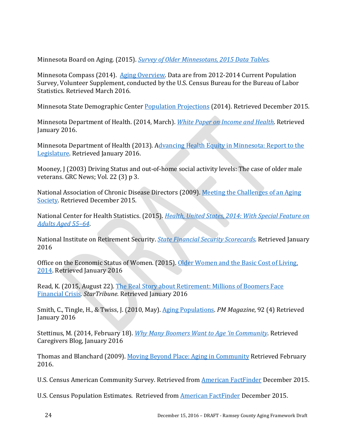Minnesota Board on Aging. (2015). *[Survey of Older Minnesotans, 2015 Data Tables](http://www.mnaging.org/Advisor/SurveyOlderMN.aspx)*.

Minnesota Compass (2014). [Aging Overview.](http://www.mncompass.org/aging/overview) Data are from 2012-2014 Current Population Survey, Volunteer Supplement, conducted by the U.S. Census Bureau for the Bureau of Labor Statistics. Retrieved March 2016.

Minnesota State Demographic Cente[r Population Projections](http://mn.gov/admin/demography/data-by-topic/population-data/our-projections/) (2014). Retrieved December 2015.

Minnesota Department of Health. (2014, March). *[White Paper on Income and Health](http://www.health.state.mn.us/divs/opa/2014incomeandhealth.pdf)*. Retrieved January 2016.

Minnesota Department of Health (2013). Advancing Health Equity in Minnesota: Report to the [Legislature.](http://www.health.state.mn.us/divs/chs/healthequity/legreport.htm) Retrieved January 2016.

Mooney, J (2003) Driving Status and out-of-home social activity levels: The case of older male veterans. GRC News; Vol. 22 (3) p 3.

National Association of Chronic Disease Directors (2009). [Meeting the Challenges of an Aging](https://c.ymcdn.com/sites/www.chronicdisease.org/resource/resmgr/Healthy_Aging_Critical_Issues_Brief/Aging_Society_SHD.pdf)  [Society.](https://c.ymcdn.com/sites/www.chronicdisease.org/resource/resmgr/Healthy_Aging_Critical_Issues_Brief/Aging_Society_SHD.pdf) Retrieved December 2015.

National Center for Health Statistics. (2015). *[Health, United States, 2014: With Special Feature on](http://www.cdc.gov/nchs/data/hus/hus14.pdf#015)  [Adults Aged 55–64](http://www.cdc.gov/nchs/data/hus/hus14.pdf#015)*.

National Institute on Retirement Security. *[State Financial Security Scorecards](http://www.nirsonline.org/index.php?option=content&task=view&id=892)*. Retrieved January 2016

Office on the Economic Status of Women. (2015). [Older Women and the Basic Cost of Living,](http://www.oesw.leg.mn/wmnpuboff/OlderWomentheBasicCostofLiving2014.pdf)  [2014.](http://www.oesw.leg.mn/wmnpuboff/OlderWomentheBasicCostofLiving2014.pdf) Retrieved January 2016

Read, K. (2015, August 22). [The Real Story about Retirement: Millions of Boomers Face](http://www.startribune.com/the-real-story-about-retirement-millions-of-baby-boomers-face-financial-crisis/334718191/)  [Financial Crisis.](http://www.startribune.com/the-real-story-about-retirement-millions-of-baby-boomers-face-financial-crisis/334718191/) *StarTribune.* Retrieved January 2016

Smith, C., Tingle, H., & Twiss, J. (2010, May). [Aging Populations.](http://webapps.icma.org/pm/9204/public/feature1.cfm?author=Henry%20Tingle%20and%20Clare%20Smith%20and%20Joan%20Twiss&title=Aging%20Populations) *PM Magazine*, 92 (4) Retrieved January 2016

Stettinus, M. (2014, February 18). *[Why Many Boomers Want to Age 'in Community](http://www.caregivers.com/blog/2014/02/age-in-community/)*. Retrieved Caregivers Blog, January 2016

Thomas and Blanchard (2009). [Moving Beyond Place: Aging in Community](http://www.secondjourney.org/itin/12_Sum/12Sum_Thomas.htm) Retrieved February 2016.

U.S. Census American Community Survey. Retrieved from [American FactFinder](http://factfinder.census.gov/faces/nav/jsf/pages/index.xhtml) December 2015.

U.S. Census Population Estimates. Retrieved from **American FactFinder December 2015.**